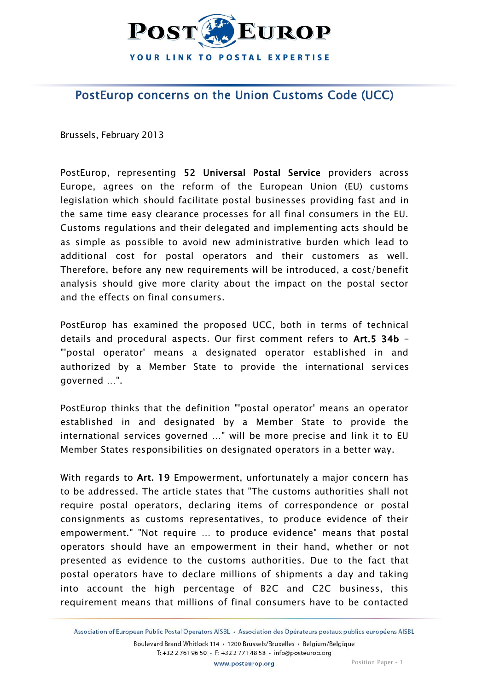

## PostEurop concerns on the Union Customs Code (UCC)

Brussels, February 2013

PostEurop, representing 52 Universal Postal Service providers across Europe, agrees on the reform of the European Union (EU) customs legislation which should facilitate postal businesses providing fast and in the same time easy clearance processes for all final consumers in the EU. Customs regulations and their delegated and implementing acts should be as simple as possible to avoid new administrative burden which lead to additional cost for postal operators and their customers as well. Therefore, before any new requirements will be introduced, a cost/benefit analysis should give more clarity about the impact on the postal sector and the effects on final consumers.

PostEurop has examined the proposed UCC, both in terms of technical details and procedural aspects. Our first comment refers to Art.5 34b -"'postal operator' means a designated operator established in and authorized by a Member State to provide the international services governed …".

PostEurop thinks that the definition "'postal operator' means an operator established in and designated by a Member State to provide the international services governed …" will be more precise and link it to EU Member States responsibilities on designated operators in a better way.

With regards to Art. 19 Empowerment, unfortunately a major concern has to be addressed. The article states that "The customs authorities shall not require postal operators, declaring items of correspondence or postal consignments as customs representatives, to produce evidence of their empowerment." "Not require … to produce evidence" means that postal operators should have an empowerment in their hand, whether or not presented as evidence to the customs authorities. Due to the fact that postal operators have to declare millions of shipments a day and taking into account the high percentage of B2C and C2C business, this requirement means that millions of final consumers have to be contacted

Association of European Public Postal Operators AISBL · Association des Opérateurs postaux publics européens AISBL Boulevard Brand Whitlock 114 · 1200 Brussels/Bruxelles · Belgium/Belgique T: +32 2 761 96 50 · F: +32 2 771 48 58 · info@posteurop.org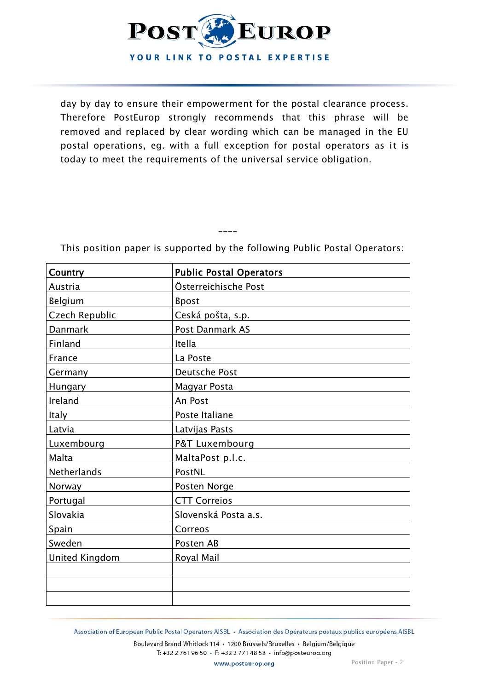

day by day to ensure their empowerment for the postal clearance process. Therefore PostEurop strongly recommends that this phrase will be removed and replaced by clear wording which can be managed in the EU postal operations, eg. with a full exception for postal operators as it is today to meet the requirements of the universal service obligation.

| <b>Country</b>     | <b>Public Postal Operators</b> |
|--------------------|--------------------------------|
| Austria            | Österreichische Post           |
| Belgium            | <b>Bpost</b>                   |
| Czech Republic     | Ceská pošta, s.p.              |
| <b>Danmark</b>     | Post Danmark AS                |
| Finland            | Itella                         |
| France             | La Poste                       |
| Germany            | Deutsche Post                  |
| Hungary            | Magyar Posta                   |
| Ireland            | An Post                        |
| <b>Italy</b>       | Poste Italiane                 |
| Latvia             | Latvijas Pasts                 |
| Luxembourg         | P&T Luxembourg                 |
| Malta              | MaltaPost p.l.c.               |
| <b>Netherlands</b> | PostNL                         |
| Norway             | Posten Norge                   |
| Portugal           | <b>CTT Correios</b>            |
| Slovakia           | Slovenská Posta a.s.           |
| Spain              | Correos                        |
| Sweden             | Posten AB                      |
| United Kingdom     | Royal Mail                     |
|                    |                                |
|                    |                                |
|                    |                                |

This position paper is supported by the following Public Postal Operators:

\_\_\_\_

Association of European Public Postal Operators AISBL · Association des Opérateurs postaux publics européens AISBL

Boulevard Brand Whitlock 114 · 1200 Brussels/Bruxelles · Belgium/Belgique T: +32 2 761 96 50 · F: +32 2 771 48 58 · info@posteurop.org